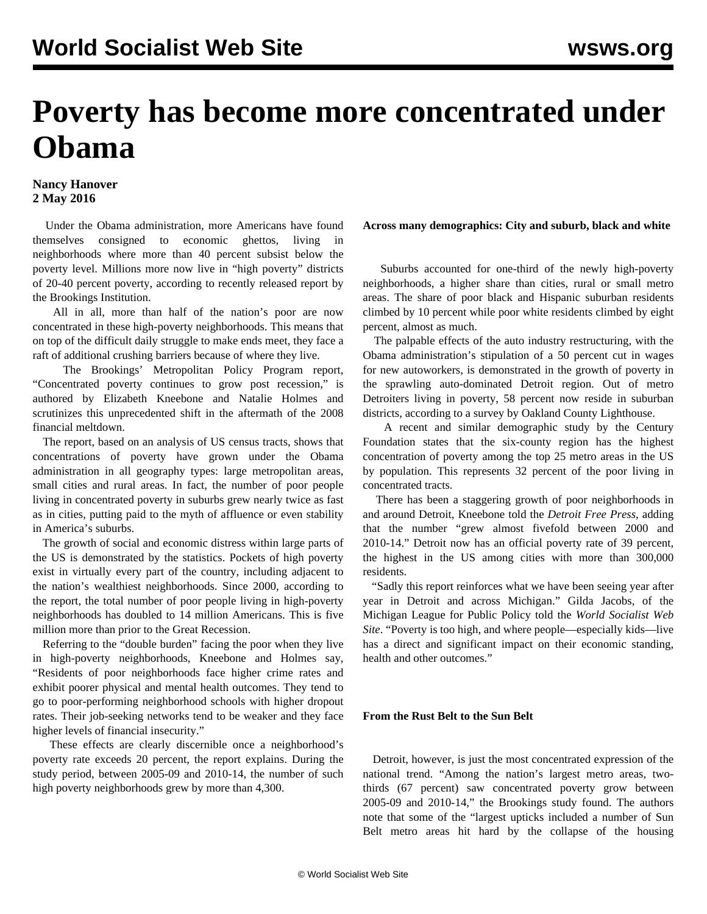## **Poverty has become more concentrated under Obama**

## **Nancy Hanover 2 May 2016**

 Under the Obama administration, more Americans have found themselves consigned to economic ghettos, living in neighborhoods where more than 40 percent subsist below the poverty level. Millions more now live in "high poverty" districts of 20-40 percent poverty, according to recently released report by the Brookings Institution.

 All in all, more than half of the nation's poor are now concentrated in these high-poverty neighborhoods. This means that on top of the difficult daily struggle to make ends meet, they face a raft of additional crushing barriers because of where they live.

 The Brookings' Metropolitan Policy Program report, "Concentrated poverty continues to grow post recession," is authored by Elizabeth Kneebone and Natalie Holmes and scrutinizes this unprecedented shift in the aftermath of the 2008 financial meltdown.

 The report, based on an analysis of US census tracts, shows that concentrations of poverty have grown under the Obama administration in all geography types: large metropolitan areas, small cities and rural areas. In fact, the number of poor people living in concentrated poverty in suburbs grew nearly twice as fast as in cities, putting paid to the myth of affluence or even stability in America's suburbs.

 The growth of social and economic distress within large parts of the US is demonstrated by the statistics. Pockets of high poverty exist in virtually every part of the country, including adjacent to the nation's wealthiest neighborhoods. Since 2000, according to the report, the total number of poor people living in high-poverty neighborhoods has doubled to 14 million Americans. This is five million more than prior to the Great Recession.

 Referring to the "double burden" facing the poor when they live in high-poverty neighborhoods, Kneebone and Holmes say, "Residents of poor neighborhoods face higher crime rates and exhibit poorer physical and mental health outcomes. They tend to go to poor-performing neighborhood schools with higher dropout rates. Their job-seeking networks tend to be weaker and they face higher levels of financial insecurity."

 These effects are clearly discernible once a neighborhood's poverty rate exceeds 20 percent, the report explains. During the study period, between 2005-09 and 2010-14, the number of such high poverty neighborhoods grew by more than 4,300.

**Across many demographics: City and suburb, black and white**

 Suburbs accounted for one-third of the newly high-poverty neighborhoods, a higher share than cities, rural or small metro areas. The share of poor black and Hispanic suburban residents climbed by 10 percent while poor white residents climbed by eight percent, almost as much.

 The palpable effects of the auto industry restructuring, with the Obama administration's stipulation of a 50 percent cut in wages for new autoworkers, is demonstrated in the growth of poverty in the sprawling auto-dominated Detroit region. Out of metro Detroiters living in poverty, 58 percent now reside in suburban districts, according to [a survey](/en/articles/2014/04/30/ligh-a30.html) by Oakland County Lighthouse.

 A recent and similar demographic study by the Century Foundation states that the six-county region has the highest concentration of poverty among the top 25 metro areas in the US by population. This represents 32 percent of the poor living in concentrated tracts.

 There has been a staggering growth of poor neighborhoods in and around Detroit, Kneebone told the *Detroit Free Press*, adding that the number "grew almost fivefold between 2000 and 2010-14." Detroit now has an official poverty rate of 39 percent, the highest in the US among cities with more than 300,000 residents.

 "Sadly this report reinforces what we have been seeing year after year in Detroit and across Michigan." Gilda Jacobs, of the Michigan League for Public Policy told the *World Socialist Web Site*. "Poverty is too high, and where people—especially kids—live has a direct and significant impact on their economic standing, health and other outcomes."

## **From the Rust Belt to the Sun Belt**

 Detroit, however, is just the most concentrated expression of the national trend. "Among the nation's largest metro areas, twothirds (67 percent) saw concentrated poverty grow between 2005-09 and 2010-14," the Brookings study found. The authors note that some of the "largest upticks included a number of Sun Belt metro areas hit hard by the collapse of the housing